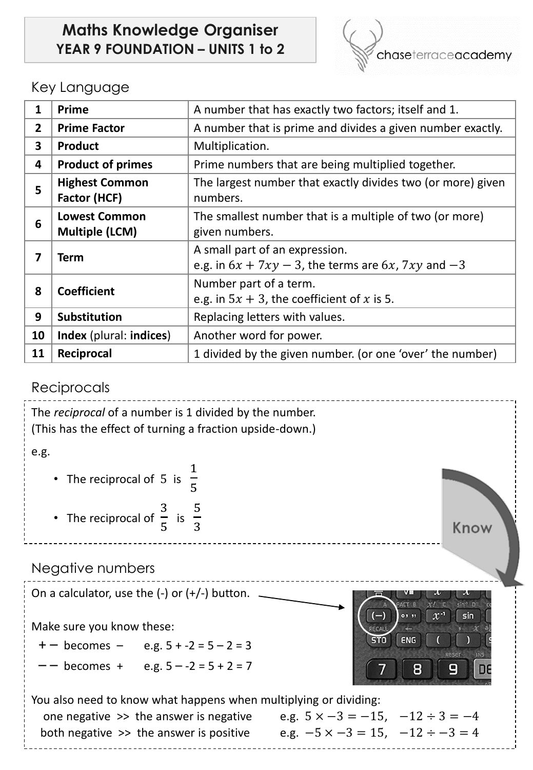## **Maths Knowledge Organiser YEAR 9 FOUNDATION – UNITS 1 to 2**



## Key Language

| 1            | Prime                                         | A number that has exactly two factors; itself and 1.                                           |  |  |
|--------------|-----------------------------------------------|------------------------------------------------------------------------------------------------|--|--|
| $\mathbf{2}$ | <b>Prime Factor</b>                           | A number that is prime and divides a given number exactly.                                     |  |  |
| 3            | <b>Product</b>                                | Multiplication.                                                                                |  |  |
| 4            | <b>Product of primes</b>                      | Prime numbers that are being multiplied together.                                              |  |  |
| 5            | <b>Highest Common</b><br>Factor (HCF)         | The largest number that exactly divides two (or more) given<br>numbers.                        |  |  |
| 6            | <b>Lowest Common</b><br><b>Multiple (LCM)</b> | The smallest number that is a multiple of two (or more)<br>given numbers.                      |  |  |
| 7            | Term                                          | A small part of an expression.<br>e.g. in $6x + 7xy - 3$ , the terms are $6x$ , $7xy$ and $-3$ |  |  |
| 8            | <b>Coefficient</b>                            | Number part of a term.<br>e.g. in $5x + 3$ , the coefficient of x is 5.                        |  |  |
| 9            | Substitution                                  | Replacing letters with values.                                                                 |  |  |
| 10           | Index (plural: indices)                       | Another word for power.                                                                        |  |  |
| 11           | Reciprocal                                    | 1 divided by the given number. (or one 'over' the number)                                      |  |  |

## Reciprocals

| The reciprocal of a number is 1 divided by the number.<br>(This has the effect of turning a fraction upside-down.) |                                                                        |  |  |  |
|--------------------------------------------------------------------------------------------------------------------|------------------------------------------------------------------------|--|--|--|
| e.g.                                                                                                               |                                                                        |  |  |  |
| • The reciprocal of 5 is $\frac{1}{5}$                                                                             |                                                                        |  |  |  |
| • The reciprocal of $\frac{3}{5}$ is $\frac{5}{3}$                                                                 | Know                                                                   |  |  |  |
| Negative numbers                                                                                                   |                                                                        |  |  |  |
| On a calculator, use the $(-)$ or $(+/-)$ button.                                                                  | $sin3$ D<br>FACT B<br>$(-)$<br>$\mathcal{X}^{-1}$<br>$0.5 - 55$<br>sin |  |  |  |
| Make sure you know these:                                                                                          |                                                                        |  |  |  |
| $+ -$ becomes $-$ e.g. $5 + -2 = 5 - 2 = 3$                                                                        | ENG<br><b>STO</b>                                                      |  |  |  |
| becomes + e.g. $5 - -2 = 5 + 2 = 7$                                                                                | 9<br>8<br>n:                                                           |  |  |  |
| You also need to know what happens when multiplying or dividing:                                                   |                                                                        |  |  |  |
| one negative $\gg$ the answer is negative                                                                          | e.g. $5 \times -3 = -15$ , $-12 \div 3 = -4$                           |  |  |  |
| both negative >> the answer is positive                                                                            | e.g. $-5 \times -3 = 15$ , $-12 \div -3 = 4$                           |  |  |  |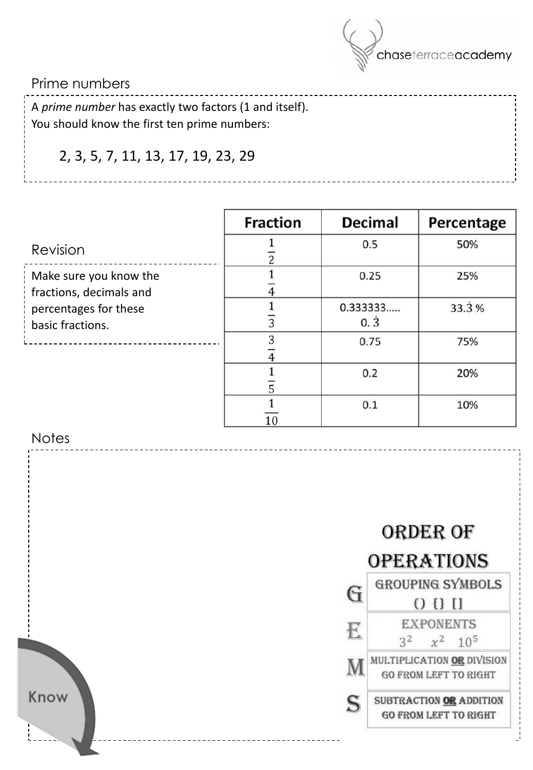

### Prime numbers

A *prime number* has exactly two factors (1 and itself). You should know the first ten prime numbers:

# 2, 3, 5, 7, 11, 13, 17, 19, 23, 29

|                                                   | <b>Fraction</b> | <b>Decimal</b>      | Percentage |
|---------------------------------------------------|-----------------|---------------------|------------|
| <b>Revision</b>                                   |                 | 0.5                 | 50%        |
| Make sure you know the<br>fractions, decimals and |                 | 0.25                | 25%        |
| percentages for these<br>basic fractions.         |                 | 0.333333<br>$0.\,3$ | 33.3%      |
|                                                   | 3               | 0.75                | 75%        |
|                                                   |                 | 0.2                 | 20%        |
|                                                   |                 | 0.1                 | 10%        |